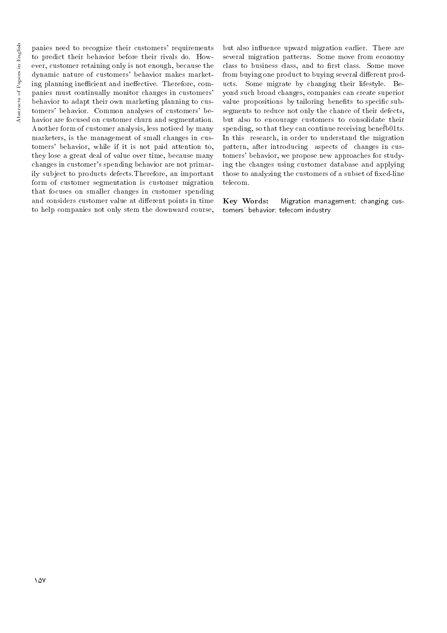panies need to recognize their customers' requirements to predict their behavior before their rivals do. However, customer retaining only is not enough, because the dynamic nature of customers' behavior makes marketing planning inefficient and ineffective. Therefore, companies must continually monitor changes in customers' behavior to adapt their own marketing planning to customers' behavior. Common analyses of customers' behavior are focused on customer churn and segmentation. Another form of customer analysis, less noticed by many marketers, is the management of small changes in customers' behavior, while if it is not paid attention to, they lose a great deal of value over time, because many changes in customer's spending behavior are not primarily subject to products defects.Therefore, an important form of customer segmentation is customer migration that focuses on smaller changes in customer spending and considers customer value at different points in time to help companies not only stem the downward course,

but also influence upward migration earlier. There are several migration patterns. Some move from economy class to business class, and to first class. Some move from buying one product to buying several different products. Some migrate by changing their lifestyle. Beyond such broad changes, companies can create superior value propositions by tailoring benefits to specific subsegments to reduce not only the chance of their defects, but also to encourage customers to consolidate their spending, so that they can continue receiving benefb01ts. In this research, in order to understand the migration pattern, after introducing aspects of changes in customers' behavior, we propose new approaches for studying the changes using customer database and applying those to analyzing the customers of a subset of fixed-line telecom.

Key Words: Migration management; changing customers' behavior; telecom industry.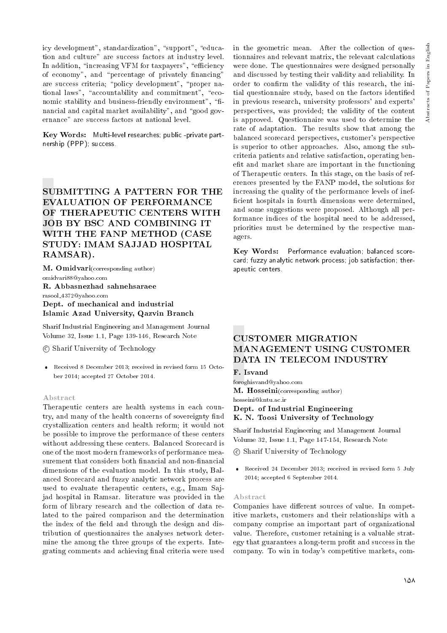icy development", standardization", "support", "education and culture" are success factors at industry level. In addition, "increasing VFM for taxpayers", "efficiency of economy", and "percentage of privately financing" are success criteria; "policy development", "proper national laws", "accountability and commitment", "economic stability and business-friendly environment", "financial and capital market availability", and "good governance" are success factors at national level.

Key Words: Multi-level researches; public -private partnership (PPP); success.

# SUBMITTING A PATTERN FOR THE EVALUATION OF PERFORMANCE OF THERAPEUTIC CENTERS WITH JOB BY BSC AND COMBINING IT WITH THE FANP METHOD (CASE STUDY: IMAM SAJJAD HOSPITAL RAMSAR).

M. Omidvari(corresponding author) omidvari88@yahoo.com R. Abbasnezhad sahnehsaraee rasool 4372@yahoo.com Dept. of mechanical and industrial Islamic Azad University, Qazvin Branch

Sharif Industrial Engineering and Management Journal Volume 32, Issue 1.1, Page 139-146, Research Note

c Sharif University of Technology

 Received 8 December 2013; received in revised form 15 October 2014; accepted 27 October 2014.

#### Abstract

Therapeutic centers are health systems in each country, and many of the health concerns of sovereignty find crystallization centers and health reform; it would not be possible to improve the performance of these centers without addressing these centers. Balanced Scorecard is one of the most modern frameworks of performance measurement that considers both financial and non-financial dimensions of the evaluation model. In this study, Balanced Scorecard and fuzzy analytic network process are used to evaluate therapeutic centers, e.g., Imam Sajjad hospital in Ramsar. literature was provided in the form of library research and the collection of data related to the paired comparison and the determination the index of the field and through the design and distribution of questionnaires the analyses network determine the among the three groups of the experts. Integrating comments and achieving final criteria were used

in the geometric mean. After the collection of questionnaires and relevant matrix, the relevant calculations were done. The questionnaires were designed personally and discussed by testing their validity and reliability. In order to confirm the validity of this research, the initial questionnaire study, based on the factors identied in previous research, university professors' and experts' perspectives, was provided; the validity of the content is approved. Questionnaire was used to determine the rate of adaptation. The results show that among the balanced scorecard perspectives, customer's perspective is superior to other approaches. Also, among the subcriteria patients and relative satisfaction, operating benefit and market share are important in the functioning of Therapeutic centers. In this stage, on the basis of references presented by the FANP model, the solutions for increasing the quality of the performance levels of inef ficient hospitals in fourth dimensions were determined, and some suggestions were proposed. Although all performance indices of the hospital need to be addressed, priorities must be determined by the respective managers.

Key Words: Performance evaluation; balanced scorecard; fuzzy analytic network process; job satisfaction; therapeutic centers.

# CUSTOMER MIGRATION MANAGEMENT USING CUSTOMER DATA IN TELECOM INDUSTRY

#### F. Isvand

foroghisvand@yahoo.com M. Hosseini(corresponding author) hosseini@kntu.ac.ir Dept. of Industrial Engineering

K. N. Toosi University of Technology

Sharif Industrial Engineering and Management Journal Volume 32, Issue 1.1, Page 147-154, Research Note

c Sharif University of Technology

 Received 24 December 2013; received in revised form 5 July 2014; accepted 6 September 2014.

#### Abstract

Companies have different sources of value. In competitive markets, customers and their relationships with a company comprise an important part of organizational value. Therefore, customer retaining is a valuable strategy that guarantees a long-term prot and success in the company. To win in today's competitive markets, com-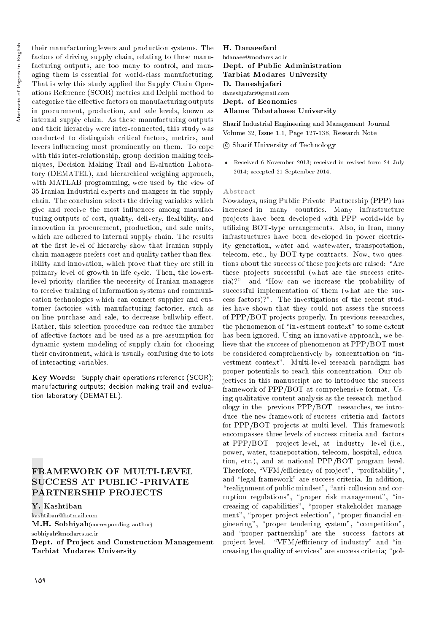their manufacturing levers and production systems. The factors of driving supply chain, relating to these manufacturing outputs, are too many to control, and managing them is essential for world-class manufacturing. That is why this study applied the Supply Chain Operations Reference (SCOR) metrics and Delphi method to categorize the effective factors on manufacturing outputs in procurement, production, and sale levels, known as internal supply chain. As these manufacturing outputs and their hierarchy were inter-connected, this study was conducted to distinguish critical factors, metrics, and levers in
uencing most prominently on them. To cope with this inter-relationship, group decision making techniques, Decision Making Trail and Evaluation Laboratory (DEMATEL), and hierarchical weighing approach, with MATLAB programming, were used by the view of 35 Iranian Industrial experts and mangers in the supply chain. The conclusion selects the driving variables which give and receive the most influences among manufacturing outputs of cost, quality, delivery, flexibility, and innovation in procurement, production, and sale units, which are adhered to internal supply chain. The results at the first level of hierarchy show that Iranian supply chain managers prefers cost and quality rather than flexibility and innovation, which prove that they are still in primary level of growth in life cycle. Then, the lowestlevel priority clarifies the necessity of Iranian managers to receive training of information systems and communication technologies which can connect supplier and customer factories with manufacturing factories, such as on-line purchase and sale, to decrease bullwhip effect. Rather, this selection procedure can reduce the number of affective factors and be used as a pre-assumption for dynamic system modeling of supply chain for choosing their environment, which is usually confusing due to lots of interacting variables.

Key Words: Supply chain operations reference (SCOR); manufacturing outputs; decision making trail and evaluation laboratory (DEMATEL).

# FRAMEWORK OF MULTI-LEVEL SUCCESS AT PUBLIC -PRIVATE PARTNERSHIP PROJECTS

Y. Kashtiban

kashtiban@hotmail.com

M.H. Sobhiyah(corresponding author) sobhiyah@modares.ac.ir

Dept. of Project and Construction Management Tarbiat Modares University

H. Danaeefard hdanaee@modares.ac.ir Dept. of Public Administration Tarbiat Modares University D. Daneshjafari daneshjafari@gmail.com Dept. of Economics Allame Tabatabaee University

Sharif Industrial Engineering and Management Journal Volume 32, Issue 1.1, Page 127-138, Research Note

c Sharif University of Technology

 Received 6 November 2013; received in revised form 24 July 2014; accepted 21 September 2014.

#### Abstract

Nowadays, using Public Private Partnership (PPP) has increased in many countries. Many infrastructure projects have been developed with PPP worldwide by utilizing BOT-type arrangements. Also, in Iran, many infrastructures have been developed in power electricity generation, water and wastewater, transportation, telecom, etc., by BOT-type contracts. Now, two questions about the success of these projects are raised: "Are these projects successful (what are the success criteria)?" and "How can we increase the probability of successful implementation of them (what are the success factors)?". The investigations of the recent studies have shown that they could not assess the success of PPP/BOT projects properly. In previous researches, the phenomenon of "investment context" to some extent has been ignored. Using an innovative approach, we believe that the success of phenomenon at PPP/BOT must be considered comprehensively by concentration on "investment context". Multi-level research paradigm has proper potentials to reach this concentration. Our objectives in this manuscript are to introduce the success framework of PPP/BOT at comprehensive format. Using qualitative content analysis as the research methodology in the previous PPP/BOT researches, we introduce the new framework of success criteria and factors for PPP/BOT projects at multi-level. This framework encompasses three levels of success criteria and factors at PPP/BOT project level, at industry level (i.e., power, water, transportation, telecom, hospital, education, etc.), and at national PPP/BOT program level. Therefore, "VFM/efficiency of project", "profitability", and "legal framework" are success criteria. In addition, "realignment of public mindset", "anti-collusion and corruption regulations", "proper risk management", "increasing of capabilities", "proper stakeholder management", "proper project selection", "proper financial engineering", "proper tendering system", "competition". and \proper partnership" are the success factors at project level. "VFM/efficiency of industry" and "increasing the quality of services" are success criteria; "pol-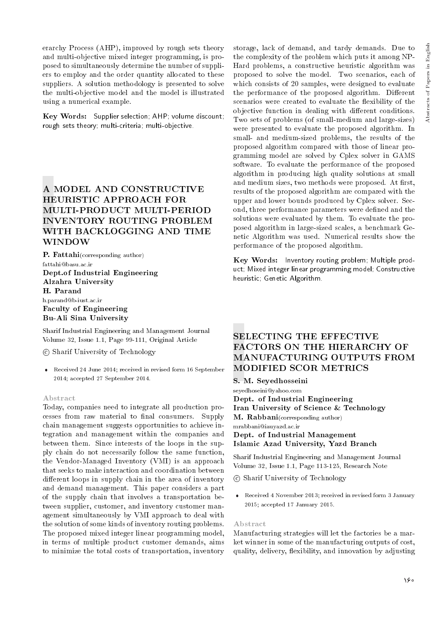erarchy Process (AHP), improved by rough sets theory and multi-objective mixed integer programming, is proposed to simultaneously determine the number of suppliers to employ and the order quantity allocated to these suppliers. A solution methodology is presented to solve the multi-objective model and the model is illustrated using a numerical example.

Key Words: Supplier selection; AHP; volume discount; rough sets theory; multi-criteria; multi-objective.

# A MODEL AND CONSTRUCTIVE HEURISTIC APPROACH FOR MULTI-PRODUCT MULTI-PERIOD INVENTORY ROUTING PROBLEM WITH BACKLOGGING AND TIME WINDOW

P. Fattahi(corresponding author) fattahi@basu.ac.ir Dept.of Industrial Engineering Alzahra University H. Parand h.parand@b-iust.ac.ir Faculty of Engineering Bu-Ali Sina University

Sharif Industrial Engineering and Management Journal Volume 32, Issue 1.1, Page 99-111, Original Article

c Sharif University of Technology

 Received 24 June 2014; received in revised form 16 September 2014; accepted 27 September 2014.

#### Abstract

Today, companies need to integrate all production processes from raw material to final consumers. Supply chain management suggests opportunities to achieve integration and management within the companies and between them. Since interests of the loops in the supply chain do not necessarily follow the same function, the Vendor-Managed Inventory (VMI) is an approach that seeks to make interaction and coordination between different loops in supply chain in the area of inventory and demand management. This paper considers a part of the supply chain that involves a transportation between supplier, customer, and inventory customer management simultaneously by VMI approach to deal with the solution of some kinds of inventory routing problems. The proposed mixed integer linear programming model, in terms of multiple product customer demands, aims to minimize the total costs of transportation, inventory storage, lack of demand, and tardy demands. Due to the complexity of the problem which puts it among NP-Hard problems, a constructive heuristic algorithm was proposed to solve the model. Two scenarios, each of which consists of 20 samples, were designed to evaluate the performance of the proposed algorithm. Different scenarios were created to evaluate the flexibility of the objective function in dealing with different conditions. Two sets of problems (of small-medium and large-sizes) were presented to evaluate the proposed algorithm. In small- and medium-sized problems, the results of the proposed algorithm compared with those of linear programming model are solved by Cplex solver in GAMS software. To evaluate the performance of the proposed algorithm in producing high quality solutions at small and medium sizes, two methods were proposed. At first, results of the proposed algorithm are compared with the upper and lower bounds produced by Cplex solver. Second, three performance parameters were defined and the solutions were evaluated by them. To evaluate the proposed algorithm in large-sized scales, a benchmark Genetic Algorithm was used. Numerical results show the performance of the proposed algorithm.

Key Words: Inventory routing problem; Multiple product; Mixed integer linear programming model; Constructive heuristic; Genetic Algorithm.

# SELECTING THE EFFECTIVE FACTORS ON THE HIERARCHY OF MANUFACTURING OUTPUTS FROM MODIFIED SCOR METRICS

# S. M. Seyedhosseini

seyedhoseini@yahoo.com

Dept. of Industrial Engineering Iran University of Science & Technology M. Rabbani(corresponding author) mrabbani@iauyazd.ac.ir Dept. of Industrial Management Islamic Azad University, Yazd Branch

Sharif Industrial Engineering and Management Journal Volume 32, Issue 1.1, Page 113-125, Research Note

c Sharif University of Technology

 Received 4 November 2013; received in revised form 3 January 2015; accepted 17 January 2015.

#### Abstract

Manufacturing strategies will let the factories be a market winner in some of the manufacturing outputs of cost, quality, delivery, 
exibility, and innovation by adjusting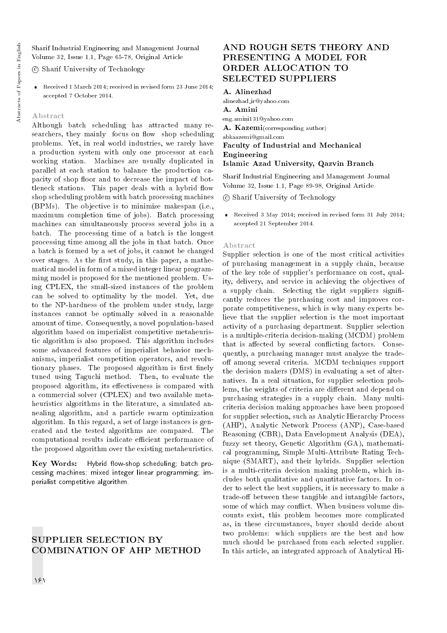Sharif Industrial Engineering and Management Journal Volume 32, Issue 1.1, Page 65-78, Original Article

c Sharif University of Technology

 Received 1 March 2014; received in revised form 23 June 2014; accepted 7 October 2014.

#### Abstract

Although batch scheduling has attracted many researchers, they mainly focus on flow shop scheduling problems. Yet, in real world industries, we rarely have a production system with only one processor at each working station. Machines are usually duplicated in parallel at each station to balance the production capacity of shop floor and to decrease the impact of bottleneck stations. This paper deals with a hybrid flow shop scheduling problem with batch processing machines (BPMs). The objective is to minimize makespan (i.e., maximum completion time of jobs). Batch processing machines can simultaneously process several jobs in a batch. The processing time of a batch is the longest processing time among all the jobs in that batch. Once a batch is formed by a set of jobs, it cannot be changed over stages. As the first study, in this paper, a mathematical model in form of a mixed integer linear programming model is proposed for the mentioned problem. Using CPLEX, the small-sized instances of the problem can be solved to optimality by the model. Yet, due to the NP-hardness of the problem under study, large instances cannot be optimally solved in a reasonable amount of time. Consequently, a novel population-based algorithm based on imperialist competitive metaheuristic algorithm is also proposed. This algorithm includes some advanced features of imperialist behavior mechanisms, imperialist competition operators, and revolutionary phases. The proposed algorithm is first finely tuned using Taguchi method. Then, to evaluate the proposed algorithm, its effectiveness is compared with a commercial solver (CPLEX) and two available metaheuristics algorithms in the literature, a simulated annealing algorithm, and a particle swarm optimization algorithm. In this regard, a set of large instances is generated and the tested algorithms are compared. The computational results indicate efficient performance of the proposed algorithm over the existing metaheuristics.

Key Words: Hybrid flow-shop scheduling; batch processing machines; mixed integer linear programming; imperialist competitive algorithm.

# SUPPLIER SELECTION BY COMBINATION OF AHP METHOD

# AND ROUGH SETS THEORY AND PRESENTING A MODEL FOR ORDER ALLOCATION TO SELECTED SUPPLIERS

#### A. Alinezhad

alinezhad ir@yahoo.com A. Amini eng.amini131@yahoo.com A. Kazemi(corresponding author) abkaazemi@gmail.com Faculty of Industrial and Mechanical Engineering Islamic Azad University, Qazvin Branch

Sharif Industrial Engineering and Management Journal Volume 32, Issue 1.1, Page 89-98, Original Article

c Sharif University of Technology

 Received 3 May 2014; received in revised form 31 July 2014; accepted 21 September 2014.

#### Abstract

Supplier selection is one of the most critical activities of purchasing management in a supply chain, because of the key role of supplier's performance on cost, quality, delivery, and service in achieving the objectives of a supply chain. Selecting the right suppliers significantly reduces the purchasing cost and improves corporate competitiveness, which is why many experts believe that the supplier selection is the most important activity of a purchasing department. Supplier selection is a multiple-criteria decision-making (MCDM) problem that is affected by several conflicting factors. Consequently, a purchasing manager must analyze the tradeoff among several criteria. MCDM techniques support the decision makers (DMS) in evaluating a set of alternatives. In a real situation, for supplier selection problems, the weights of criteria are different and depend on purchasing strategies in a supply chain. Many multicriteria decision making approaches have been proposed for supplier selection, such as Analytic Hierarchy Process (AHP), Analytic Network Process (ANP), Case-based Reasoning (CBR), Data Envelopment Analysis (DEA), fuzzy set theory, Genetic Algorithm (GA), mathematical programming, Simple Multi-Attribute Rating Technique (SMART), and their hybrids. Supplier selection is a multi-criteria decision making problem, which includes both qualitative and quantitative factors. In order to select the best suppliers, it is necessary to make a trade-off between these tangible and intangible factors, some of which may conflict. When business volume discounts exist, this problem becomes more complicated as, in these circumstances, buyer should decide about two problems: which suppliers are the best and how much should be purchased from each selected supplier. In this article, an integrated approach of Analytical Hi-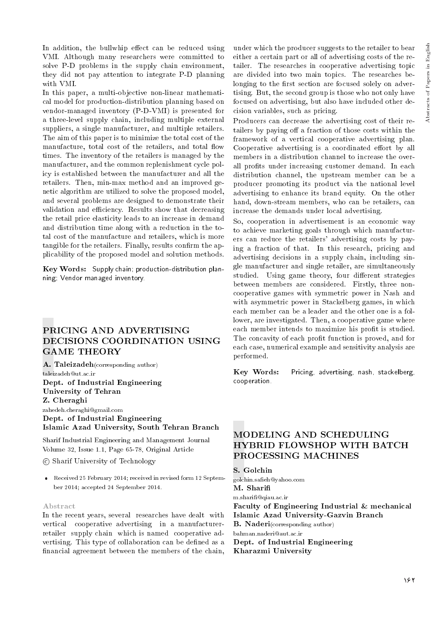In addition, the bullwhip effect can be reduced using VMI. Although many researchers were committed to solve P-D problems in the supply chain environment, they did not pay attention to integrate P-D planning with VMI.

In this paper, a multi-objective non-linear mathematical model for production-distribution planning based on vendor-managed inventory (P-D-VMI) is presented for a three-level supply chain, including multiple external suppliers, a single manufacturer, and multiple retailers. The aim of this paper is to minimize the total cost of the manufacture, total cost of the retailers, and total flow times. The inventory of the retailers is managed by the manufacturer, and the common replenishment cycle policy is established between the manufacturer and all the retailers. Then, min-max method and an improved genetic algorithm are utilized to solve the proposed model, and several problems are designed to demonstrate their validation and efficiency. Results show that decreasing the retail price elasticity leads to an increase in demand and distribution time along with a reduction in the total cost of the manufacture and retailers, which is more tangible for the retailers. Finally, results confirm the applicability of the proposed model and solution methods.

Key Words: Supply chain; production-distribution planning; Vendor managed inventory.

# PRICING AND ADVERTISING DECISIONS COORDINATION USING GAME THEORY

A. Taleizadeh(corresponding author) taleizadeh@ut.ac.ir Dept. of Industrial Engineering University of Tehran Z. Cheraghi zahedeh.cheraghi@gmail.com

Dept. of Industrial Engineering Islamic Azad University, South Tehran Branch

Sharif Industrial Engineering and Management Journal Volume 32, Issue 1.1, Page 65-78, Original Article

c Sharif University of Technology

 Received 25 February 2014; received in revised form 12 September 2014; accepted 24 September 2014.

#### Abstract

In the recent years, several researches have dealt with vertical cooperative advertising in a manufacturerretailer supply chain which is named cooperative advertising. This type of collaboration can be dened as a financial agreement between the members of the chain, under which the producer suggests to the retailer to bear either a certain part or all of advertising costs of the retailer. The researches in cooperative advertising topic are divided into two main topics. The researches belonging to the first section are focused solely on advertising. But, the second group is those who not only have focused on advertising, but also have included other decision variables, such as pricing.

Producers can decrease the advertising cost of their retailers by paying off a fraction of those costs within the framework of a vertical cooperative advertising plan. Cooperative advertising is a coordinated effort by all members in a distribution channel to increase the overall profits under increasing customer demand. In each distribution channel, the upstream member can be a producer promoting its product via the national level advertising to enhance its brand equity. On the other hand, down-stream members, who can be retailers, can increase the demands under local advertising.

So, cooperation in advertisement is an economic way to achieve marketing goals through which manufacturers can reduce the retailers' advertising costs by paying a fraction of that. In this research, pricing and advertising decisions in a supply chain, including single manufacturer and single retailer, are simultaneously studied. Using game theory, four different strategies between members are considered. Firstly, three noncooperative games with symmetric power in Nash and with asymmetric power in Stackelberg games, in which each member can be a leader and the other one is a follower, are investigated. Then, a cooperative game where each member intends to maximize his profit is studied. The concavity of each profit function is proved, and for each case, numerical example and sensitivity analysis are performed.

Key Words: Pricing, advertising, nash, stackelberg, cooperation.

# MODELING AND SCHEDULING HYBRID FLOWSHOP WITH BATCH PROCESSING MACHINES

S. Golchin

golchin.saeh@yahoo.com M. Shari m.shari@qiau.ac.ir Faculty of Engineering Industrial & mechanical Islamic Azad University-Gazvin Branch B. Naderi(corresponding author) bahman.naderi@aut.ac.ir Dept. of Industrial Engineering Kharazmi University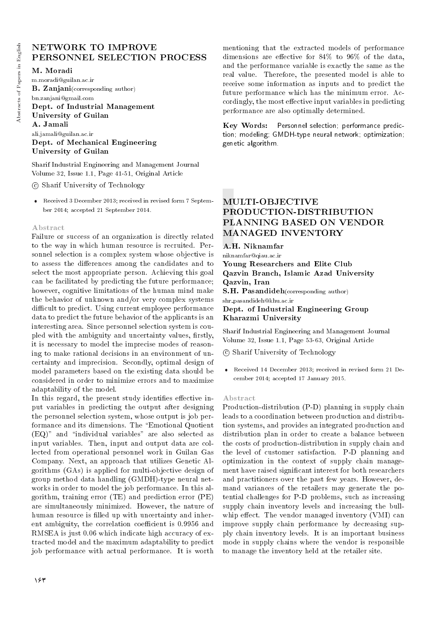# NETWORK TO IMPROVE PERSONNEL SELECTION PROCESS

# M. Moradi

m.moradi@guilan.ac.ir B. Zanjani(corresponding author) bn.zanjani@gmail.com Dept. of Industrial Management University of Guilan A. Jamali ali.jamali@guilan.ac.ir Dept. of Mechanical Engineering University of Guilan

Sharif Industrial Engineering and Management Journal Volume 32, Issue 1.1, Page 41-51, Original Article

c Sharif University of Technology

 Received 3 December 2013; received in revised form 7 September 2014; accepted 21 September 2014.

#### Abstract

Failure or success of an organization is directly related to the way in which human resource is recruited. Personnel selection is a complex system whose objective is to assess the differences among the candidates and to select the most appropriate person. Achieving this goal can be facilitated by predicting the future performance; however, cognitive limitations of the human mind make the behavior of unknown and/or very complex systems difficult to predict. Using current employee performance data to predict the future behavior of the applicants is an interesting area. Since personnel selection system is coupled with the ambiguity and uncertainty values, firstly, it is necessary to model the imprecise modes of reasoning to make rational decisions in an environment of uncertainty and imprecision. Secondly, optimal design of model parameters based on the existing data should be considered in order to minimize errors and to maximize adaptability of the model.

In this regard, the present study identifies effective input variables in predicting the output after designing the personnel selection system, whose output is job performance and its dimensions. The \Emotional Quotient  $(EQ)$ " and "individual variables" are also selected as input variables. Then, input and output data are collected from operational personnel work in Guilan Gas Company. Next, an approach that utilizes Genetic Algorithms (GAs) is applied for multi-objective design of group method data handling (GMDH)-type neural networks in order to model the job performance. In this algorithm, training error (TE) and prediction error (PE) are simultaneously minimized. However, the nature of human resource is filled up with uncertainty and inherent ambiguity, the correlation coefficient is 0.9956 and RMSEA is just 0.06 which indicate high accuracy of extracted model and the maximum adaptability to predict job performance with actual performance. It is worth

Key Words: Personnel selection; performance prediction; modeling; GMDH-type neural network; optimization; genetic algorithm.

# MULTI-OBJECTIVE PRODUCTION-DISTRIBUTION PLANNING BASED ON VENDOR MANAGED INVENTORY

A.H. Niknamfar

niknamfar@qiau.ac.ir

Young Researchers and Elite Club Qazvin Branch, Islamic Azad University Qazvin, Iran S.H. Pasandideh(corresponding author) shr pasandideh@khu.ac.ir

Dept. of Industrial Engineering Group Kharazmi University

Sharif Industrial Engineering and Management Journal Volume 32, Issue 1.1, Page 53-63, Original Article

c Sharif University of Technology

 Received 14 December 2013; received in revised form 21 December 2014; accepted 17 January 2015.

#### Abstract

Production-distribution (P-D) planning in supply chain leads to a coordination between production and distribution systems, and provides an integrated production and distribution plan in order to create a balance between the costs of production-distribution in supply chain and the level of customer satisfaction. P-D planning and optimization in the context of supply chain management have raised signicant interest for both researchers and practitioners over the past few years. However, demand variances of the retailers may generate the potential challenges for P-D problems, such as increasing supply chain inventory levels and increasing the bullwhip effect. The vendor managed inventory  $(VMI)$  can improve supply chain performance by decreasing supply chain inventory levels. It is an important business mode in supply chains where the vendor is responsible to manage the inventory held at the retailer site.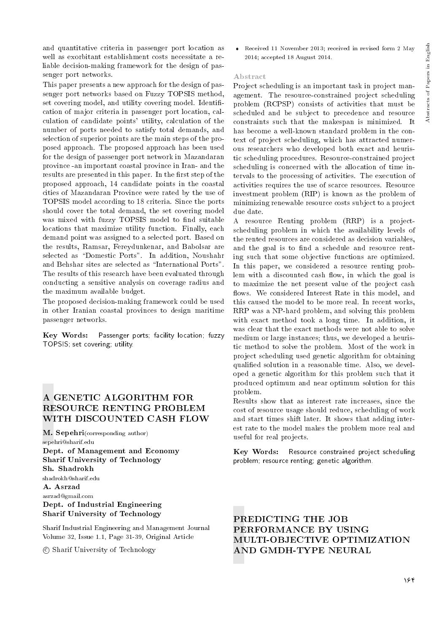and quantitative criteria in passenger port location as well as exorbitant establishment costs necessitate a reliable decision-making framework for the design of passenger port networks.

This paper presents a new approach for the design of passenger port networks based on Fuzzy TOPSIS method, set covering model, and utility covering model. Identification of major criteria in passenger port location, calculation of candidate points' utility, calculation of the number of ports needed to satisfy total demands, and selection of superior points are the main steps of the proposed approach. The proposed approach has been used for the design of passenger port network in Mazandaran province -an important coastal province in Iran- and the results are presented in this paper. In the first step of the proposed approach, 14 candidate points in the coastal cities of Mazandaran Province were rated by the use of TOPSIS model according to 18 criteria. Since the ports should cover the total demand, the set covering model was mixed with fuzzy TOPSIS model to find suitable locations that maximize utility function. Finally, each demand point was assigned to a selected port. Based on the results, Ramsar, Fereydunkenar, and Babolsar are selected as "Domestic Ports". In addition, Noushahr and Behshar sites are selected as \International Ports". The results of this research have been evaluated through conducting a sensitive analysis on coverage radius and the maximum available budget.

The proposed decision-making framework could be used in other Iranian coastal provinces to design maritime passenger networks.

Key Words: Passenger ports; facility location; fuzzy TOPSIS; set covering; utility.

# A GENETIC ALGORITHM FOR RESOURCE RENTING PROBLEM WITH DISCOUNTED CASH FLOW

M. Sepehri(corresponding author) sepehri@sharif.edu Dept. of Management and Economy Sharif University of Technology Sh. Shadrokh shadrokh@sharif.edu

# A. Asrzad asrzad@gmail.com Dept. of Industrial Engineering Sharif University of Technology

Sharif Industrial Engineering and Management Journal Volume 32, Issue 1.1, Page 31-39, Original Article

c Sharif University of Technology

 Received 11 November 2013; received in revised form 2 May 2014; accepted 18 August 2014.

# Abstract

Project scheduling is an important task in project management. The resource-constrained project scheduling problem (RCPSP) consists of activities that must be scheduled and be subject to precedence and resource constraints such that the makespan is minimized. It has become a well-known standard problem in the context of project scheduling, which has attracted numerous researchers who developed both exact and heuristic scheduling procedures. Resource-constrained project scheduling is concerned with the allocation of time intervals to the processing of activities. The execution of activities requires the use of scarce resources. Resource investment problem (RIP) is known as the problem of minimizing renewable resource costs subject to a project due date.

A resource Renting problem (RRP) is a projectscheduling problem in which the availability levels of the rented resources are considered as decision variables, and the goal is to find a schedule and resource renting such that some objective functions are optimized. In this paper, we considered a resource renting problem with a discounted cash flow, in which the goal is to maximize the net present value of the project cash flows. We considered Interest Rate in this model, and this caused the model to be more real. In recent works, RRP was a NP-hard problem, and solving this problem with exact method took a long time. In addition, it was clear that the exact methods were not able to solve medium or large instances; thus, we developed a heuristic method to solve the problem. Most of the work in project scheduling used genetic algorithm for obtaining qualied solution in a reasonable time. Also, we developed a genetic algorithm for this problem such that it produced optimum and near optimum solution for this problem.

Results show that as interest rate increases, since the cost of resource usage should reduce, scheduling of work and start times shift later. It shows that adding interest rate to the model makes the problem more real and useful for real projects.

Key Words: Resource constrained project scheduling problem; resource renting; genetic algorithm.

PREDICTING THE JOB PERFORMANCE BY USING MULTI-OBJECTIVE OPTIMIZATION AND GMDH-TYPE NEURAL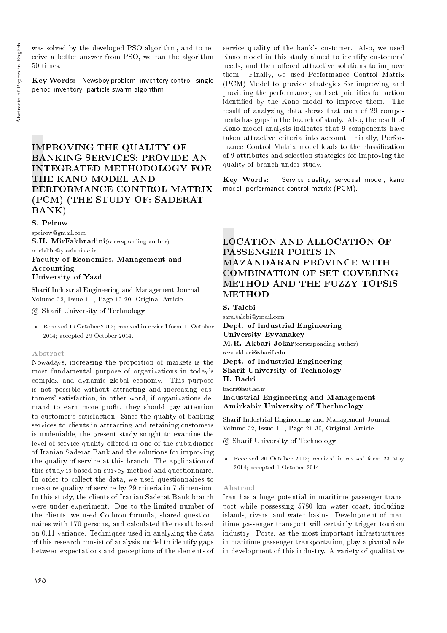was solved by the developed PSO algorithm, and to receive a better answer from PSO, we ran the algorithm 50 times.

Key Words: Newsboy problem; inventory control; singleperiod inventory; particle swarm algorithm.

# IMPROVING THE QUALITY OF BANKING SERVICES: PROVIDE AN INTEGRATED METHODOLOGY FOR THE KANO MODEL AND PERFORMANCE CONTROL MATRIX (PCM) (THE STUDY OF: SADERAT BANK)

S. Peirow

speirow@gmail.com S.H. MirFakhradini(corresponding author) mirfakhr@yazduni.ac.ir Faculty of Economics, Management and Accounting

# University of Yazd

Sharif Industrial Engineering and Management Journal Volume 32, Issue 1.1, Page 13-20, Original Article

c Sharif University of Technology

 Received 19 October 2013; received in revised form 11 October 2014; accepted 29 October 2014.

# Abstract

Nowadays, increasing the proportion of markets is the most fundamental purpose of organizations in today's complex and dynamic global economy. This purpose is not possible without attracting and increasing customers' satisfaction; in other word, if organizations demand to earn more profit, they should pay attention to customer's satisfaction. Since the quality of banking services to clients in attracting and retaining customers is undeniable, the present study sought to examine the level of service quality offered in one of the subsidiaries of Iranian Saderat Bank and the solutions for improving the quality of service at this branch. The application of this study is based on survey method and questionnaire. In order to collect the data, we used questionnaires to measure quality of service by 29 criteria in 7 dimension. In this study, the clients of Iranian Saderat Bank branch were under experiment. Due to the limited number of the clients, we used Co-hron formula, shared questionnaires with 170 persons, and calculated the result based on 0.11 variance. Techniques used in analyzing the data of this research consist of analysis model to identify gaps between expectations and perceptions of the elements of

service quality of the bank's customer. Also, we used Kano model in this study aimed to identify customers' needs, and then offered attractive solutions to improve them. Finally, we used Performance Control Matrix (PCM) Model to provide strategies for improving and providing the performance, and set priorities for action identied by the Kano model to improve them. The result of analyzing data shows that each of 29 components has gaps in the branch of study. Also, the result of Kano model analysis indicates that 9 components have taken attractive criteria into account. Finally, Performance Control Matrix model leads to the classification of 9 attributes and selection strategies for improving the quality of branch under study.

Key Words: Service quality; servqual model; kano model; performance control matrix (PCM).

# LOCATION AND ALLOCATION OF PASSENGER PORTS IN MAZANDARAN PROVINCE WITH COMBINATION OF SET COVERING METHOD AND THE FUZZY TOPSIS **METHOD**

S. Talebi

sara.talebi@ymail.com Dept. of Industrial Engineering University Eyvanakey M.R. Akbari Jokar(corresponding author) reza.akbari@sharif.edu Dept. of Industrial Engineering Sharif University of Technology H. Badri badri@aut.ac.ir Industrial Engineering and Management Amirkabir University of Thechnology

Sharif Industrial Engineering and Management Journal Volume 32, Issue 1.1, Page 21-30, Original Article

c Sharif University of Technology

 Received 30 October 2013; received in revised form 23 May 2014; accepted 1 October 2014.

#### Abstract

Iran has a huge potential in maritime passenger transport while possessing 5780 km water coast, including islands, rivers, and water basins. Development of maritime passenger transport will certainly trigger tourism industry. Ports, as the most important infrastructures in maritime passenger transportation, play a pivotal role in development of this industry. A variety of qualitative